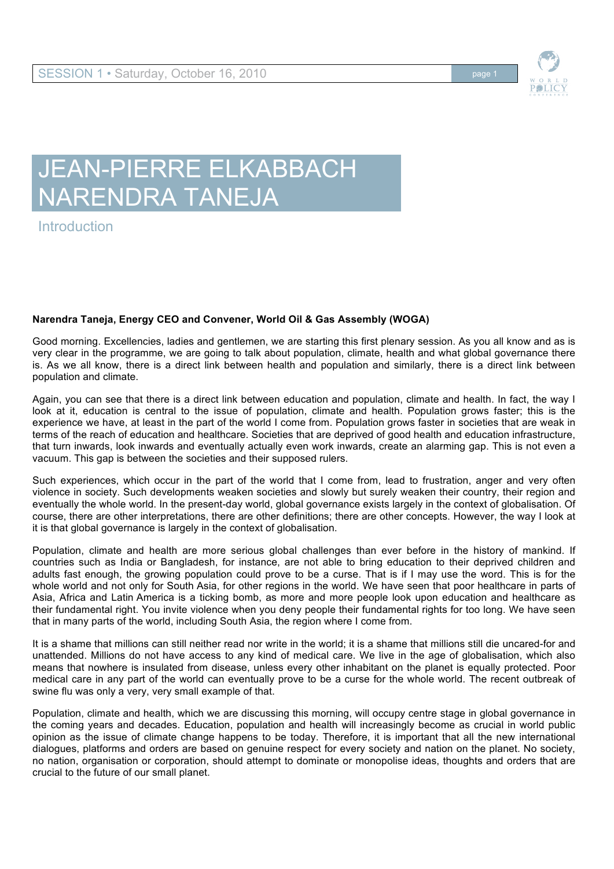

## JEAN-PIERRE ELKABBACH NARENDRA TANEJA

**Introduction** 

## **Narendra Taneja, Energy CEO and Convener, World Oil & Gas Assembly (WOGA)**

Good morning. Excellencies, ladies and gentlemen, we are starting this first plenary session. As you all know and as is very clear in the programme, we are going to talk about population, climate, health and what global governance there is. As we all know, there is a direct link between health and population and similarly, there is a direct link between population and climate.

Again, you can see that there is a direct link between education and population, climate and health. In fact, the way I look at it, education is central to the issue of population, climate and health. Population grows faster; this is the experience we have, at least in the part of the world I come from. Population grows faster in societies that are weak in terms of the reach of education and healthcare. Societies that are deprived of good health and education infrastructure, that turn inwards, look inwards and eventually actually even work inwards, create an alarming gap. This is not even a vacuum. This gap is between the societies and their supposed rulers.

Such experiences, which occur in the part of the world that I come from, lead to frustration, anger and very often violence in society. Such developments weaken societies and slowly but surely weaken their country, their region and eventually the whole world. In the present-day world, global governance exists largely in the context of globalisation. Of course, there are other interpretations, there are other definitions; there are other concepts. However, the way I look at it is that global governance is largely in the context of globalisation.

Population, climate and health are more serious global challenges than ever before in the history of mankind. If countries such as India or Bangladesh, for instance, are not able to bring education to their deprived children and adults fast enough, the growing population could prove to be a curse. That is if I may use the word. This is for the whole world and not only for South Asia, for other regions in the world. We have seen that poor healthcare in parts of Asia, Africa and Latin America is a ticking bomb, as more and more people look upon education and healthcare as their fundamental right. You invite violence when you deny people their fundamental rights for too long. We have seen that in many parts of the world, including South Asia, the region where I come from.

It is a shame that millions can still neither read nor write in the world; it is a shame that millions still die uncared-for and unattended. Millions do not have access to any kind of medical care. We live in the age of globalisation, which also means that nowhere is insulated from disease, unless every other inhabitant on the planet is equally protected. Poor medical care in any part of the world can eventually prove to be a curse for the whole world. The recent outbreak of swine flu was only a very, very small example of that.

Population, climate and health, which we are discussing this morning, will occupy centre stage in global governance in the coming years and decades. Education, population and health will increasingly become as crucial in world public opinion as the issue of climate change happens to be today. Therefore, it is important that all the new international dialogues, platforms and orders are based on genuine respect for every society and nation on the planet. No society, no nation, organisation or corporation, should attempt to dominate or monopolise ideas, thoughts and orders that are crucial to the future of our small planet.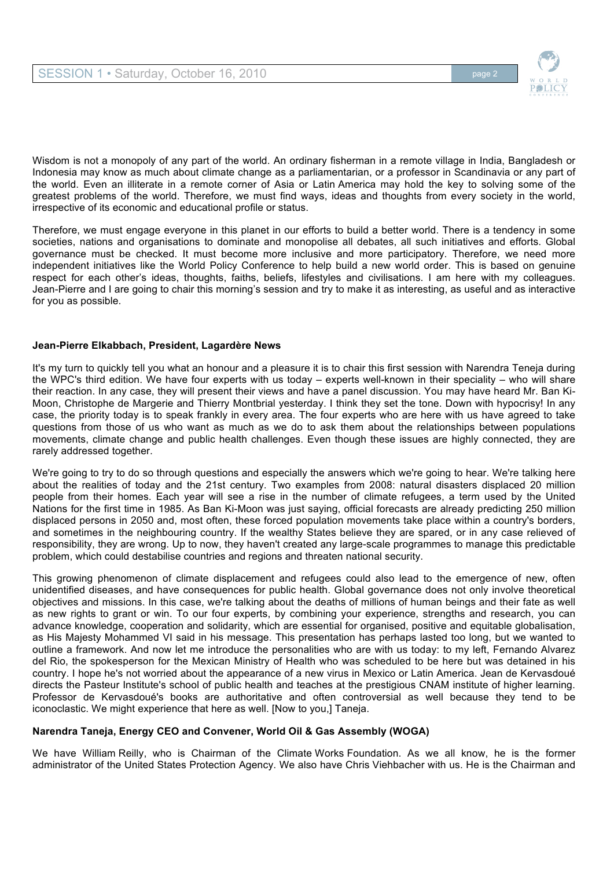

Wisdom is not a monopoly of any part of the world. An ordinary fisherman in a remote village in India, Bangladesh or Indonesia may know as much about climate change as a parliamentarian, or a professor in Scandinavia or any part of the world. Even an illiterate in a remote corner of Asia or Latin America may hold the key to solving some of the greatest problems of the world. Therefore, we must find ways, ideas and thoughts from every society in the world, irrespective of its economic and educational profile or status.

Therefore, we must engage everyone in this planet in our efforts to build a better world. There is a tendency in some societies, nations and organisations to dominate and monopolise all debates, all such initiatives and efforts. Global governance must be checked. It must become more inclusive and more participatory. Therefore, we need more independent initiatives like the World Policy Conference to help build a new world order. This is based on genuine respect for each other's ideas, thoughts, faiths, beliefs, lifestyles and civilisations. I am here with my colleagues. Jean-Pierre and I are going to chair this morning's session and try to make it as interesting, as useful and as interactive for you as possible.

## **Jean-Pierre Elkabbach, President, Lagardère News**

It's my turn to quickly tell you what an honour and a pleasure it is to chair this first session with Narendra Teneja during the WPC's third edition. We have four experts with us today – experts well-known in their speciality – who will share their reaction. In any case, they will present their views and have a panel discussion. You may have heard Mr. Ban Ki-Moon, Christophe de Margerie and Thierry Montbrial yesterday. I think they set the tone. Down with hypocrisy! In any case, the priority today is to speak frankly in every area. The four experts who are here with us have agreed to take questions from those of us who want as much as we do to ask them about the relationships between populations movements, climate change and public health challenges. Even though these issues are highly connected, they are rarely addressed together.

We're going to try to do so through questions and especially the answers which we're going to hear. We're talking here about the realities of today and the 21st century. Two examples from 2008: natural disasters displaced 20 million people from their homes. Each year will see a rise in the number of climate refugees, a term used by the United Nations for the first time in 1985. As Ban Ki-Moon was just saying, official forecasts are already predicting 250 million displaced persons in 2050 and, most often, these forced population movements take place within a country's borders, and sometimes in the neighbouring country. If the wealthy States believe they are spared, or in any case relieved of responsibility, they are wrong. Up to now, they haven't created any large-scale programmes to manage this predictable problem, which could destabilise countries and regions and threaten national security.

This growing phenomenon of climate displacement and refugees could also lead to the emergence of new, often unidentified diseases, and have consequences for public health. Global governance does not only involve theoretical objectives and missions. In this case, we're talking about the deaths of millions of human beings and their fate as well as new rights to grant or win. To our four experts, by combining your experience, strengths and research, you can advance knowledge, cooperation and solidarity, which are essential for organised, positive and equitable globalisation, as His Majesty Mohammed VI said in his message. This presentation has perhaps lasted too long, but we wanted to outline a framework. And now let me introduce the personalities who are with us today: to my left, Fernando Alvarez del Rio, the spokesperson for the Mexican Ministry of Health who was scheduled to be here but was detained in his country. I hope he's not worried about the appearance of a new virus in Mexico or Latin America. Jean de Kervasdoué directs the Pasteur Institute's school of public health and teaches at the prestigious CNAM institute of higher learning. Professor de Kervasdoué's books are authoritative and often controversial as well because they tend to be iconoclastic. We might experience that here as well. [Now to you,] Taneja.

## **Narendra Taneja, Energy CEO and Convener, World Oil & Gas Assembly (WOGA)**

We have William Reilly, who is Chairman of the Climate Works Foundation. As we all know, he is the former administrator of the United States Protection Agency. We also have Chris Viehbacher with us. He is the Chairman and